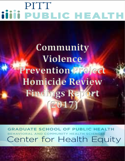# PITT **iiiii PUBLIC HEALTH**

# **Community Violence Prevention Project Homicide Review Findings Report (2017)**

**GRADUATE SCHOOL OF PUBLIC HEALTH** HAVIORAL AND COMMUNITY HEALTH SCIENCES Center for Health Equity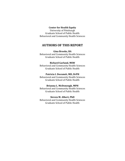#### **Center for Health Equity**

University of Pittsburgh Graduate School of Public Health Behavioral and Community Health Sciences

## **AUTHORS OF THIS REPORT**

**Gina Brooks, BA** Behavioral and Community Health Sciences Graduate School of Public Health

#### **Richard Garland, MSW**

Behavioral and Community Health Sciences Graduate School of Public Health

#### **Patricia I. Documét, MD, DrPH**

Behavioral and Community Health Sciences Graduate School of Public Health

#### **Brianna L. McDonough, MPH**

Behavioral and Community Health Sciences Graduate School of Public Health

#### **Steven M. Albert, PhD**

Behavioral and Community Health Sciences Graduate School of Public Health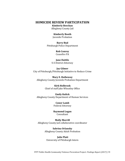#### **HOMICIDE REVIEW PARTICIPATION**

**Kimberly Beechan** Allegheny County Jail

#### **Kimberly Booth**

Juvenile Probation

**Barry Bud** Pittsburgh Police Department

> **Rob Conroy**  Ceasefire PA

**Jane Daitilo** U.S District Attorney

**Jay Gilmer** City of Pittsburgh/Pittsburgh Initiative to Reduce Crime

**Mary E. Hatheway**  Allegheny County Juvenile Probation Department

> **Kirk Holbrook**  Chief of staff Jake Wheatley Office

**Emily Kulick**  Allegheny County Department of Human Services

> **Conor Lamb**  Federal Attorney

**Raymond Logan** Consultant

**Molly Morrill** Allegheny County Jail collaborative coordinator

> **Sabrina Orlansky**  Allegheny County Adult Probation

**Julie Platt**  University of Pittsburgh Intern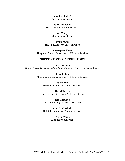**Roland L. Slade, Sr.**  Kingsley Association

**Taili Thompson** Department of Human Services

> **Art Terry** Kingsley Association

**Mike Vogel**  Housing Authority Chief of Police

**Chengyuan Zhou** Allegheny County Department of Human Services

### **SUPPORTIVE CONTRIBUTORS**

**Tamara Collier**  United States Attorney's Office for the Western District of Pennsylvania

> **Erin Dalton**  Allegheny County Department of Human Services

> > **Mary Greer** UPMC Presbyterian Trauma Services

**David Harris**  University of Pittsburgh Professor of Law

**Tim Harvison** Crafton Borough Police Department

**Alan D. Murdock** UPMC Presbyterian Trauma Services

> **LaToya Warren** Allegheny County Jail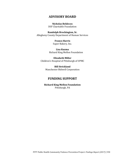### **ADVISORY BOARD**

**Nicholas Beldecos** DSF Charitable Foundation

**Randolph Brockington, Sr.**  Allegheny County Department of Human Services

> **Franco Harris** Super Bakery, Inc.

**Lisa Kuzma**  Richard King Mellon Foundation

**Elizabeth Miller** Children's Hospital of Pittsburgh of UPMC

> **Bill Strickland** Manchester Bidwell Corporation

## **FUNDING SUPPORT**

**Richard King Mellon Foundation** Pittsburgh, PA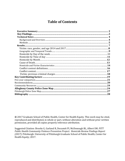# **Table of Contents**

| Key Contributing factors …………………………………………………………………………………………19 |  |
|---------------------------------------------------------------|--|
|                                                               |  |
|                                                               |  |
|                                                               |  |
|                                                               |  |
|                                                               |  |
|                                                               |  |
|                                                               |  |

**©** 2017 Graduate School of Public Health, Center for Health Equity. This work may be cited, reproduced and distributed, in whole or part, without alteration and without prior written permission, provided all copies properly reference attribution.

Suggested Citation: Brooks G, Garland R, Documét PI, McDonough BL, Albert SM. *PITT Public Health Community Violence Prevention Project: Homicide Review Findings Report (2017).* Pittsburgh: University of Pittsburgh Graduate School of Public Health, Center for Health Equity; 2017.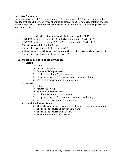#### **Executive Summary**

Our detailed review of Allegheny County's 107 homicides in 2017 further supports the need to distinguish between types of homicide cases. The 2017 homicide total for the City of Pittsburgh was 57 (remained the same from 2016) and for the Suburbs 50 (increase of 2% from 2016).

#### **Allegheny County Homicide Demographics 2017**

- 89 (83%) victims were male (81% in 2016 compared to 87% in 2015).
- 82 (77%) victims were black (78% in 2016, compared to  $81\%$  in 2015).
- 13 victims were killed in McKeesport.
- The median age of a homicide victim was 26.
- 29% of homicide victims were African American males between the ages of 21-30.
- The median age of a homicide suspect was 21.

#### **A Typical Homicide in Allegheny County**

- **Victim**
	- $>$  Male
	- $\triangleright$  African American
	- $\triangleright$  Between 21-30 years old
	- $\triangleright$  Has between 1 and 5 prior arrests
	- $\triangleright$  Has prior drug and/or burglary arrest on arrest history
	- $\triangleright$  Was or previously on probation/parole
- **Suspect** 
	- $\triangleright$  Male
	- $\triangleright$  African American
	- $\triangleright$  Between 21-30 years old
	- $\triangleright$  Has between 1 and 5 prior arrests
	- $\triangleright$  Has prior drug and/or weapon arrest on arrest history
	- $\triangleright$  Was or previously on probation/parole

#### • **Homicide Circumstances**

- $\triangleright$  The victim and suspect were peers (they had something in common)
- $\triangleright$  The incident occurred between 3am-6am
- $\triangleright$  The incident occurred on Tuesday
- $\triangleright$  The homicide involved a firearm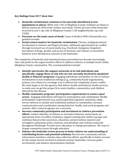#### **Key findings from 2017 show that:**

- **Homicide victimization continues to be unevenly distributed across populations or places.** While only 13% of Allegheny County residents are black or African American, 83% of the victims were black. Twelve percent of the homicides occurred in just 1 zip code of Allegheny County's 130 neighborhoods, zip code 15206.
- **Firearms are the main cause of death.** Cause of death in 89% of homicides was gunshot wounds.
- **Social context matters for homicide victimization.** Chronic, multigenerational involvement in violence and illegal activities; additional opportunities for conflict through increased use of social media (e.g., Facebook, Instagram, Snapchat); prevalence of drugs, alcohol, and access to firearms; and violence as normative behavior were identified as relevant in the homicides.

The complexity of homicide and intentional injury prevention has become increasingly clear and points to the urgent need for efforts to address violence at multiple levels within Allegheny County communities. The recommendations include:

- **Identify and involve the support networks of at-risk individuals and, specifically, engage those at risk who are not currently involved in mandated health or behavior programs.** Engaging individuals and families at risk of violence victimization in non-traditional settings (e.g., community-based organizations, primary care clinics) is a strategic way to address the complexity of peer conflict. We must begin to vet the agencies that deliver health and behavior health services, to make sure we get the proper fit to assist families, communities, and children affected by this disease.
- **Modify community programs' participation requirements to ensure equal access.** Engaging individuals will improve participation and commitment: Modify participation requirements (e.g., parent/guardian signature, payment), adapt service delivery to include non-traditional methods in communities, increase communication and coordination among behavior, health, and social programs and systems. After-school programs are a necessity.
- **Increase community participation and investment in violence prevention efforts.** Combat attitudes of violence as normative behavior and promote an appropriate form of conflict resolution; support existing anti-violence groups and coalitions that provide awareness, education, and prevention; improve and strengthen community-police relations; and distribute anti-violence materials throughout Pittsburgh. Provide more education, to change perceptions. We want to change community norms through education.
- **Enhance the homicide review process to better inform our understanding of contributing factors and potential solutions.** Recruit new community and law enforcement members; enhance data collection efforts, specifically to better account for the unique factors involved in intimate partner homicides; increase police involvement; and enhance dissemination methods.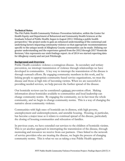#### **Technical Notes**

The Pitt Public Health Community Violence Prevention Initiative, within the Center for Health Equity and Department of Behavioral and Community Health Sciences at the Graduate School of Public Health, began in August 2012. Utilizing a public health perspective[,1](#page-33-0) the project seeks to gain an enhanced understanding of the contextual and underlying factors impacting community violence so that appropriate recommendations specific to the unique needs of Allegheny County communities can be made. Utilizing our greater understanding and the experience gained from the 2012 through 2017 Homicide Reviews, [2](#page-33-1) this represents our sixth findings report. As of 2014 we started reporting data for Allegheny county and not just Pittsburgh.

#### **Background and Overview**

Public Health considers violence a contagious disease. In secondary and tertiary prevention, we interrupt transmission of violence through relationships we have developed in communities. A key way to interrupt the transmission of the disease is through outreach efforts. By engaging community members in this work, and by linking people to appropriate community-based service organizations, we treat the disease and those at high risk of becoming victims. When we are successful in providing needed services, we help prevent the further spread of the disease.

Our homicide reviews can be considered a primary prevention effort. Making information about homicides available to communities and local leadership can change community norms. By engaging the community, we in fact treat the whole community, and we begin to change community norms. This is a way of changing the narrative about community violence.

Communities with high rates of homicide are in distress, with high poverty, unemployment and underemployment, and unstable housing. Housing, in particular, has become a major issue as it relates to continual spread of the disease, particularly the closing of housing communities and relocation of families.

In previous years, we have extended our services to the children of homicide victims. This is yet another approach in interrupting the transmission of the disease, through mentoring and resources we receive from our partners. Once linked to the network of service providers who are treating the disease, we begin the process of changing community norms. This is what we see as taking a true Public Health approach.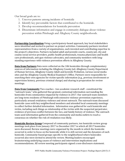Our broad goals are to:

- 1. Uncover patterns among incidents of homicide
- 2. Identify key preventable factors that contributed to the homicide.
- 3. Develop recommendations for homicide prevention
- 4. Disseminate information and engage in community dialogue about violence prevention within Pittsburgh and Allegheny County neighborhoods.

**Partnership Coordination** Using a participatory-based approach, key local stakeholders were identified and invited to partner on project activities. Community partners involved representatives from a variety of organizations, each invested and contributing expertise to the project's objectives. Partners included adult and juvenile courts, county jail, city and county social service providers, public health professionals, trauma physicians and health care professionals, anti-gun violence advocates, and community members with longstanding experience with violence prevention efforts in Allegheny County.

**Data from Partners** Data were collected on the 106 homicides through complementary sources of information including the Allegheny County Jail, Allegheny County Department of Human Services, Allegheny County Adult and Juvenile Probation, various social media sites and the Allegheny County Medical Examiner's Office. Partners were responsible for searching their own agencies for victim-specific information (e.g., previous involvement or supervision history, previous criminal charge) and sharing in preparation for review meetings.

**Data from Community** Two coaches - two academic research staff - constituted the "outreach team," who gathered fine-grained, contextual information surrounding the homicides from communities impacted by violence in 2017. Our outreach team members are long-term residents of Pittsburgh with extensive violence prevention experience, particularly around retaliatory violence and street outreach. The outreach team discussed homicide cases with key neighborhood members and attended local community meetings to collect further detailed information. Information was gathered for each homicide and victim, including such things as relationship of the victim with the suspected perpetrator, evidence of previous conflict between the two, and family history of violence. The outreach team used information gathered from the community and media outlets to reach a consensus on whether the risk of retaliation was likely.

**Homicide Review Group** Composed of community partners, ten homicide review group meetings took place from January 2017 to December 2017 in which all 2017 homicides were discussed. Review meetings were organized by the month in which the homicide occurred in order to focus on the homicide while it is still current and the dynamics of each homicide. Community-based groups specific to the neighborhood where homicides occurred also were invited to attend the review. Meeting leaders encouraged brainstorming underlying causes of violence and intervention implications and recommendations. All review meeting participants signed a non-disclosure statement.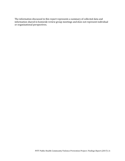The information discussed in this report represents a summary of collected data and information shared in homicide review group meetings and does not represent individual or organizational perspectives.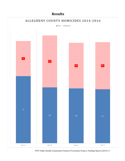# **Results**



PITT Public Health Community Violence Prevention Project: *Findings Report (2017)* | 7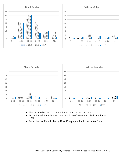



- Not included in the chart were 8 with other or missing race.
- In the United States Blacks come in at 52% of homicides, black population is 12%.
- Males lead and homicides by 78%, 49% population in the United States.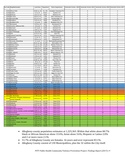|            | Zip Code Neighborhood(s)                                   |                            | Land Area Population | <b>Police Department</b> | Homicide Victims 2014   Homicide Victims 2015   Homicide Victims 2016   Homicide Victims 2017 |                               |                                |                |
|------------|------------------------------------------------------------|----------------------------|----------------------|--------------------------|-----------------------------------------------------------------------------------------------|-------------------------------|--------------------------------|----------------|
|            | 15101 Allison Park                                         | 13.82 sq. mi               | 21, 741              | Hampton Township P.D.    | 0                                                                                             | 0                             | $\mathbf{1}$                   | $\overline{2}$ |
|            | 15236 Baldwin                                              | 5.9 sq mi                  | 19,812               | Baldwin P.D              | $\pmb{0}$                                                                                     | $\overline{2}$                | 0                              | $\mathbf 1$    |
|            | 15202 Bellevue                                             | 1.01 sq. mi                | 8,624                | Bellevue P.D.            | $\mathbf 0$                                                                                   | 0                             | 3                              | 0              |
|            | 15202 Ben Avon                                             | 3,56 sq. mi                | 1,781                | Ohio Township P.D        | $\pmb{0}$                                                                                     | 0                             | 0                              | $\mathbf 1$    |
|            | 15014 Brackenridge                                         | 0.51 sq. mi                | 3,262                | Brackenridge P.D.        | $\mathbf 0$                                                                                   | 0                             | $\mathbf{1}$                   | 0              |
|            | 15104 Braddock                                             | 2.45 sq. mi                | 8,839                | Braddock P.D.            | $\overline{4}$                                                                                | 5                             | 3                              | 0              |
|            | 15221 Braddock Hills                                       | $1.0$ sq mi                | 1,880                | Braddock Hills P.D.      | $\pmb{0}$                                                                                     | $\overline{2}$                | $\mathbf 0$                    | $\pmb{0}$      |
|            | 15227 Brentwood                                            | 1.45 Sq. mi                | 9,613                | Brentwood P.D.           | $\pmb{0}$                                                                                     | 0                             | $\overline{2}$                 | $\mathsf 0$    |
|            | 15025 Clairton, Jefferson Hills                            | $2.8$ sq mi                | 6,796                | Clairton P.D.            | 0                                                                                             | 5                             | 3                              | $\mathbf{1}$   |
|            | 15216 Dormont                                              | $0.7$ sq mi                | 8,593                | Dormont P.D.             | 0                                                                                             | $\pmb{0}$                     | 0                              | $\mathsf 0$    |
|            | 15110 Duquesne                                             | 1.82 sq. mi                | 5,547                | Duqesne P.D              | 3                                                                                             | 0                             | 0                              | $\mathbf{1}$   |
|            | 15112 East Pittsburgh                                      | 0.4 sq mi                  | 1,822                | East Pittsburgh P.D      | $\pmb{0}$                                                                                     | $\overline{2}$                | $\mathbf{1}$                   | $\mathsf 0$    |
| 15233 Etna |                                                            | 0.73 sq. mi                | 3,397                | Etna P.D                 | 0                                                                                             | 0                             | $\overline{2}$                 | $\mathsf 0$    |
|            | 15238 Forward Township                                     | 19.9 sq. mi                | 3,771                | Forward Township P.D     | $\pmb{0}$                                                                                     | $\mathbf{1}$                  | 0                              | 0              |
|            | 15045 Glassport                                            | 1.9 sq. mi                 | 4,377                | Gtlassport P.D           | 0                                                                                             | 0                             | 0                              | $\mathbf 1$    |
|            | 15120 Homestead                                            | 1.90 sq. mi                | 3,079                | Homestead P.D            | $\mathbf 1$                                                                                   | $\overline{2}$                | $\overline{2}$                 | 0              |
|            | 15215 Kennedy, Sharpsburg                                  | $6.1$ sq mi                | 11.118               | Kennedy/Sharpsburg P.D   | 0                                                                                             | $\overline{2}$                | $\pmb{0}$                      | $\mathbf 1$    |
|            | 15237 McCandless                                           | 24.21 sq. mi               | 41,499               | McCandless P.D           | $\overline{2}$                                                                                | 0                             | 0                              | $\mathbf{1}$   |
|            | 15136 McKees Rocks                                         | 11.13 sq. mi               | 23,184               | McKees Rocks P.D         | 4                                                                                             | 5                             | 3                              | 3              |
|            | 15132 McKeesport                                           | 5.65 sq. mi                | 21,057               | McKeesport P.D           | 4                                                                                             | 11                            | $\sqrt{4}$                     | 13             |
|            | 15146 Monroeville                                          | 19.8 sq mi                 | 28,386               | Monroeville P.D          | 0                                                                                             | $\overline{2}$                | 0                              | $\mathsf 0$    |
|            | 15108 Moon                                                 | 39.47 sq. mi               | 38,927               | Moon Township P.D        | $\mathbf 1$                                                                                   | $\mathbf 1$                   | 0                              | $\mathsf 0$    |
|            | 15228 Mt. Lebanon                                          | 6.08 sq mi                 | 33,137               | Mount Lebanon P.D        | $\pmb{0}$                                                                                     | 0                             | 0                              | $\mathbf 1$    |
|            | 15120 Munhall                                              | 4.67 sq. mi                | 18,833               | Munhall P.D              | $\mathbf 1$                                                                                   | 0                             | 0                              | $\mathsf 0$    |
|            | 15139 Oakmont                                              | 1.59 sq. mi                | 6,412                | Oakmont P.D              | $\pmb{0}$                                                                                     | 0                             | $\mathbf 1$                    | 0              |
|            | 15140 Pitcairn                                             | 0.51 sq mi                 | 3,689                | Pitcairn P.D             | 0                                                                                             | 0                             | $\pmb{0}$                      | $\mathbf 1$    |
|            | 15235 Penn Hills                                           | 14.66 sq. mi               | 33,681               | Penn Hills P.D           | 3                                                                                             | 3                             | 3                              | $\overline{7}$ |
| 15239 Plum |                                                            | 29 sq. mi                  | 27,126               | Plum P.D                 | 0                                                                                             | 0                             | 0                              | $\mathbf{1}$   |
|            | 15104 Rankin                                               | 0.44 sq. mi                | 1,955                | Rankin P.D               | 0                                                                                             | 0                             | $\overline{2}$                 | $\mathbf 1$    |
|            | 15116 Shaler                                               | 11.2 sq mi                 | 28,757               | Shaler P.D               | 0                                                                                             | $\mathbf{1}$                  | 0                              | $\mathsf 0$    |
|            | 15218 Swissvale                                            | $1.2$ sq mi                | 8,983                | Swissvale P.D            | $\pmb{0}$                                                                                     | $\overline{2}$                | 0                              | 5              |
|            | 15084 Tarentum                                             | 1.4 sq mi                  | 4,530                | Tarentum P.D             | 0                                                                                             | 0                             | 0                              | $\mathbf{1}$   |
|            | 15145 Turtle Creek                                         | 1.97 sq. mi                | 6,945                | Turtle Creek P.D         | $\mathbf 1$                                                                                   | 0                             | $\mathbf{1}$                   | $\overline{2}$ |
|            | 15241 Upper St. Clair                                      | 10.4 sq. mi                | 19,651               | Upper St. Clair P.D      | $\mathbf 1$                                                                                   | 0                             | 0                              | $\mathsf 0$    |
|            | 15147 Verona                                               | 10.12 sq. mi               | 17,743               | Verona P.D               | 5                                                                                             | 0                             | 0                              | $\mathbf{1}$   |
|            | 15122 West Mifflin                                         | 14.2 sq mi                 | 20,313               | West Mifflin P.D         | $\pmb{0}$                                                                                     | $\overline{2}$                | 3                              | $\mathbf{1}$   |
|            | 15229 West View                                            | $1.0$ sq mi                | 6,771                | West View P.D            | 0                                                                                             | $\mathbf{1}$                  | $\mathsf 0$                    | $\mathsf 0$    |
|            | 15221 Wilkinsburg                                          | 6.15 sq. mi                | 31,069               | Wilkinsburg P.D          | $\overline{7}$                                                                                | 5                             | 12                             | $\overline{4}$ |
|            | 15148 Wilmerding                                           | 0.4 sq. mi                 | 2,190                | North Versailes P.D      | 0                                                                                             | $\mathbf{1}$                  | $\mathbf{1}$                   | 0              |
|            | 15212 Northside                                            | 6.22 sq. mi                | 27,135               | Zone 1 P.D               | 5                                                                                             | $6\phantom{1}$                | $9\,$                          | $6\phantom{.}$ |
|            | 15214 Northside                                            | 4.7 sq. mi                 | 14,293               | Zone 1 P.D               | 6                                                                                             | 5 <sup>°</sup>                | $\overline{7}$                 | $\overline{2}$ |
|            | 15233 Manchester                                           | 0.279 sq mi                | 2,130                | Zone 1 P.D               | $\mathbf{0}$                                                                                  | $\overline{2}$                | $\mathbf{0}$                   | $\overline{2}$ |
|            | 15210 Brentwood                                            | 6.8 sq. mi                 | 28,641               | Zone 2 P.D.              | $\mathbf{1}$                                                                                  | $\overline{2}$                | $\mathbf{1}$                   | 5              |
|            | 15219 Hill District<br>15222 Strip District                | 2.29 sq. mi                | 17,684               | Zone 2 P.D.              | 8<br>$\mathbf 1$                                                                              | $6\phantom{1}$<br>$\mathbf 0$ | $\overline{3}$<br>$\mathbf{1}$ | 5<br>$\pmb{0}$ |
|            | 15211 Mt. Washinton                                        | 0.81 sq. mi<br>1.139 sq mi | 3,525<br>8,799       | Zone 2 P.D<br>Zone 3 P.D | $\overline{0}$                                                                                | $\overline{2}$                | $\overline{1}$                 | $\overline{1}$ |
|            | Allentown, Arlington, Beltzhoover,                         |                            |                      |                          |                                                                                               |                               |                                |                |
| 15210      | Carrick, Knoxville                                         | 4.64 sq. mi                | 24,920               | Zone 3 P.D.              | 10                                                                                            | 8 <sup>2</sup>                | 9                              | $\overline{0}$ |
|            | 15207 Hazelwood                                            | 4.79 sq. mi                | 10,779               | Zone 4 P.D.              | $\overline{2}$                                                                                | $\mathbf{1}$                  | $\mathbf 0$                    | $\overline{2}$ |
|            | 15213 Oakland                                              | 2.13 sq. mi                | 25,066               | Zone 4 P.D.              | $\mathbf 1$                                                                                   | $\mathbf{3}$                  | $\mathbf{1}$                   | $\mathbf{1}$   |
|            | 15232 Shadyside                                            | 0.921 sq. mi               | 13,915               | Zone 4 P.D.              | $\mathbf 0$                                                                                   | $\mathbf{0}$                  | $\mathbf{0}$                   | $\mathbf{1}$   |
|            | 15221 East Hills                                           | 0.541 sq mi                | 3,169                | Zone 5 P.D.              | $\mathbf{0}$                                                                                  | 5 <sup>1</sup>                | $2^{\circ}$                    | $\mathbf{0}$   |
|            | 15224 Bloomfield, Garfield,                                | 1.01 sq. mi                | 10,172               | Zone 5 P.D.              | $\overline{7}$                                                                                | $\overline{4}$                | 3                              | 3              |
|            | 15206 East Liberty, Larimer, Lincoln Lemingto 2.838 sq. mi |                            | 12,584               | Zone 5 P.D.              | $\overline{7}$                                                                                | $\overline{4}$                | $\mathbf 1$                    | 12             |
|            | 15208 Homewood                                             | 1.61 sq. mi                | 10,486               | Zone 5 P.D.              | 12                                                                                            | 7 <sup>7</sup>                | 10                             | 10             |
|            | 15201 Stanton Heights                                      | 2.48 sq. mi                | 12,850               | Zone 5 P.D.              | $\mathbf{1}$                                                                                  | $\mathbf 0$                   | $\mathbf{1}$                   | $\mathbf 0$    |
|            | 15216 Beechview                                            | 1.46 sq mi                 | 7,974                | Zone 6 P.D.              | $\pmb{0}$                                                                                     | $\overline{2}$                | $\mathbf 0$                    | $\mathbf 1$    |
|            | 15205 Crafton Heights, West wood                           | 0.754 sq mi                | 3,814                | Zone 6 P.D.              | $\mathbf 0$                                                                                   | $\mathbf{1}$                  | $\overline{2}$                 | $\overline{2}$ |
|            | 15226 Brookline                                            | 2.54 sq. mi                | 13,551               | Zone 6 P.D.              | $\mathbf{1}$                                                                                  | $\mathbf{1}$                  | $\mathbf 1$                    | $\mathbf{0}$   |
|            | 15204 Chartiers, Esplen, Sheraden                          | 1.86 sq. mi                | 7,986                | Zone 6 P.D.              | 5                                                                                             | $\overline{0}$                | 4                              | $\mathbf{1}$   |
|            | 15203 Southside                                            | 0.94 sq mi                 | 5,726                | Zone 6 P.D               | $\mathbf{0}$                                                                                  | $\mathbf{0}$                  | $\overline{0}$                 | 3              |
|            | 15220 Elliot                                               | 4.94 sq. mi                | 18,023               | Zone 6 P.D.              | $\overline{4}$                                                                                | $\mathbf{0}$                  | $\overline{2}$                 | $\mathbf{0}$   |

- Allegheny county population estimates at 1,225,365. Within that white alone 80.7% black or African American alone 13.4%, Asian alone 3.6%, Hispanic or Latino 2.0% and 2 or more races 2.1%
- 51.7% of Allegheny County are females. 16 years and over represent 83.1%.
- Allegheny County consist of 130 Municipalities, plus the 32 within the City itself.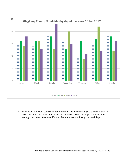

• Each year homicides tend to happen more on the weekend days than weekdays, in we saw a decrease on Fridays and an increase on Tuesdays. We have been seeing a decrease of weekend homicides and increase during the weekdays.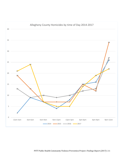

PITT Public Health Community Violence Prevention Project: *Findings Report (2017)* | 11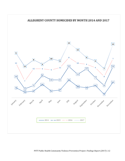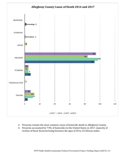

- Firearms remain the most common cause of homicide death in Allegheny County.
- Firearms accounted for 73% of homicides in the United States in 2017, majority of victims of those firearms being between the ages of 20 to 24 African males.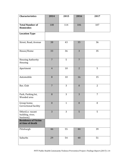| <b>Characteristics</b>                             | 2014             | 2015           | 2016             | 2017             |
|----------------------------------------------------|------------------|----------------|------------------|------------------|
| <b>Total Number of</b><br>Homicides                | 108              | 114            | 106              | 107              |
| <b>Location Type</b>                               |                  |                |                  |                  |
| Street, Road, Avenue                               | 38               | 43             | 35               | 36               |
| House/Home                                         | 33               | 36             | $\overline{3}$   | 35               |
| Housing Authority<br>Housing                       | $\overline{7}$   | $\overline{5}$ | $\overline{7}$   |                  |
| Apartment                                          | $\overline{4}$   | 10             | $\overline{2}$   | 5                |
| Automobile                                         | $\, 8$           | $10\,$         | 16               | 15               |
| Bar, Club                                          | $\overline{7}$   | 3              | $\boldsymbol{0}$ | $\overline{2}$   |
| Park, Parking lot,<br>Wooded area                  | 8                | 3              | 3                | $\overline{7}$   |
| Group home,<br>Correctional facility               | $\boldsymbol{0}$ | $\mathbf{1}$   | $\boldsymbol{0}$ | $\boldsymbol{0}$ |
| Other(i.e. vacant<br>building, river,<br>business) | $\overline{3}$   | 3              | 5                | 5                |
| <b>Residence of Victim</b><br>at time of death     |                  |                |                  |                  |
| Pittsburgh                                         | 46               | 55             | 44               | 39               |
| Suburbs                                            | 29               | 54             | 48               | 51               |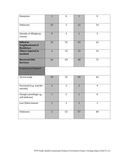| Homeless                                                | $\overline{1}$ | $\overline{0}$ | $\mathbf{1}$   | $\boldsymbol{0}$ |
|---------------------------------------------------------|----------------|----------------|----------------|------------------|
| Unknown                                                 | 32             | $\overline{2}$ | 12             | 14               |
| Outside of Allegheny<br>County                          | $\overline{0}$ | $\overline{3}$ | $\mathbf{1}$   | $\overline{3}$   |
| <b>Killed</b> in<br>Neighborhood of<br><b>Residence</b> | 32             | 55             | 43             | 62               |
| Others injured in<br>incident                           | $\overline{4}$ | 15             | 15             | 14               |
| <b>Received DHS</b><br><b>Services</b>                  | 66             | 69             | 48             | 72               |
| Perpetrator/Suspect                                     |                |                |                |                  |
| Arrest made                                             | 29             | 55             | 45             | 42               |
| Deceased (e.g. murder-<br>suicide)                      | $\overline{4}$ | $\overline{2}$ | $\overline{2}$ | $\overline{4}$   |
| Charges pending(e.g.,<br>self-defense)                  | $\mathbf{1}$   | $\overline{2}$ | $\mathbf{1}$   | $\boldsymbol{0}$ |
| Law Enforcement                                         | $\mathbf{1}$   | 3              | $\mathbf{1}$   | $\mathbf{1}$     |
| Unknown                                                 | $\overline{2}$ | 52             | 57             | 60               |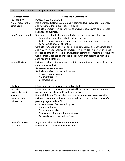| Conflict context, definition (Allegheny County, 2015) |                                                                                                               |  |  |  |  |
|-------------------------------------------------------|---------------------------------------------------------------------------------------------------------------|--|--|--|--|
|                                                       |                                                                                                               |  |  |  |  |
| <b>Conflict Context</b>                               | <b>Definitions &amp; Clarification</b>                                                                        |  |  |  |  |
| Peer conflict*                                        | • Purposeful, self-motivated                                                                                  |  |  |  |  |
| *Peer- move in the                                    | • Peers or individuals with something in common (e.g., avocation, residence,                                  |  |  |  |  |
| same circle.                                          | age) with more than a superficial familiarity                                                                 |  |  |  |  |
|                                                       | • Conflicts may stem from such things as drugs, money, power, or disrespect,<br>but not gang business.        |  |  |  |  |
| Gang/Group related                                    | • U.S. Department of Justice gang definition is used, specifically there is:                                  |  |  |  |  |
|                                                       | o Identifiable leadership and internal organization                                                           |  |  |  |  |
|                                                       | o Collective identification by employing a common name, slogan, sign or<br>symbol, style or color of clothing |  |  |  |  |
|                                                       | • Conflicts are "gang on gang" or one named gang versus another named gang                                    |  |  |  |  |
|                                                       | and may involve such things as turf/territory, intimidation, power, pride and                                 |  |  |  |  |
|                                                       | respect, or gang business (e.g., drugs, stolen commerce, firearms, prostitution)                              |  |  |  |  |
|                                                       | • Geographically defined boundaries in Pittsburgh that determine with what                                    |  |  |  |  |
|                                                       | gang you should affiliate                                                                                     |  |  |  |  |
| Isolated Incident                                     | • Incidents that are criminally motivated, but do not involve aspects of a peer or                            |  |  |  |  |
|                                                       | gang-related conflict                                                                                         |  |  |  |  |
|                                                       | • Considered an isolated event                                                                                |  |  |  |  |
|                                                       | • Conflicts may stem from such things as:                                                                     |  |  |  |  |
|                                                       | ○ Robbery, home invasion                                                                                      |  |  |  |  |
|                                                       | o Argument/conflict                                                                                           |  |  |  |  |
|                                                       | ○ Contracted killing                                                                                          |  |  |  |  |
|                                                       |                                                                                                               |  |  |  |  |
| Child abuse                                           | • Intentional injury or violence towards a child                                                              |  |  |  |  |
| Intimate                                              | • Intentional injury or violence perpetrated by a current or former intimate                                  |  |  |  |  |
| partner/Domestic                                      | partner (e.g., boyfriend, girlfriend, wife husband).                                                          |  |  |  |  |
| violence                                              | • Domestic injury or Violence between family members or household affairs.                                    |  |  |  |  |
| Non-criminal or                                       | • Incidents that are not criminally motivated and do not involve aspects of a                                 |  |  |  |  |
| unintentional                                         | peer or gang-related conflict                                                                                 |  |  |  |  |
|                                                       | • Conflicts may stem from such things as:                                                                     |  |  |  |  |
|                                                       | o Unintended target                                                                                           |  |  |  |  |
|                                                       | o No apparent motive                                                                                          |  |  |  |  |
|                                                       | o Negligence or improper firearm storage                                                                      |  |  |  |  |
|                                                       | o Personal protection or self-defense                                                                         |  |  |  |  |
|                                                       |                                                                                                               |  |  |  |  |
| Law Enforcement                                       | • Any incident that involves law enforcement                                                                  |  |  |  |  |
| Unknown                                               | • Unknown due to incomplete information                                                                       |  |  |  |  |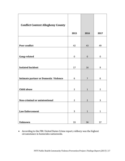| <b>Conflict Context Allegheny County</b>     | 2015           | 2016           | 2017           |
|----------------------------------------------|----------------|----------------|----------------|
|                                              |                |                |                |
| Peer conflict                                | 42             | 43             | 49             |
|                                              |                |                |                |
| Gang-related                                 | $\pmb{0}$      | $\pmb{0}$      | $\mathbf 0$    |
|                                              |                |                |                |
| <b>Isolated Incident</b>                     | 17             | 16             | 9              |
|                                              |                |                |                |
| <b>Intimate partner or Domestic Violence</b> | 6              | $\overline{7}$ | 6              |
| <b>Child abuse</b>                           | $\overline{2}$ | $\mathbf{1}$   | $\overline{2}$ |
| Non-criminal or unintentional                | $\overline{2}$ | $\overline{2}$ | 3              |
|                                              |                |                |                |
| <b>Law Enforcement</b>                       | $\mathbf{3}$   | $\mathbf 1$    | $\mathbf 1$    |
|                                              |                |                |                |
| <b>Unknown</b>                               | 33             | 36             | 37             |

• According to the FBI: United States Crime report, robbery was the highest circumstance in homicides nationwide.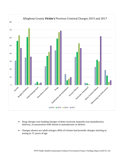

- Drug charges was leading charges victims received, majority was manufacture, delivery, or possession with intent to manufacture or deliver.
- Charges shown are adult charges, 86% of victims had juvenile charges starting as young as 11 years of age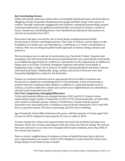#### *Key Contributing Factors*

Public information and news outlets often oversimplify intentional injury and homicides in Allegheny County, frequently identifying street gangs and illicit drugs as the source of conflict. Through community engagement and academic-community partnerships, greater contextual information was gathered and homicides were found to involve a variety of factors. Numerous contributing factors were identified and discussed with partners as relevant to homicides from 2017.

Discussion took place around the role of street drugs, multigenerational family involvement in violence and illegal activities. This cycle of violence, and its impact on the breakdown of a family unit, was identified as a contributor to a victim's involvement in violence. Why we are taking the public health approach of violence being a disease and passed on.

The increasing access to and use of social media (e.g., Facebook, Twitter, Snapchat and Instagram) was still extensively discussed around homicide cases, particularly social media as an additional opportunity for conflict (i.e., beyond face-to-face arguments). In addition to things such as YouTube, Facebook, Instagram, Snapchat and twitter social media is beginning to play a larger role in sources of conflict among individuals and future violence and intentional injury. Additionally, drugs, alcohol, and access to firearms were also frequently highlighted as related to the homicides.

Violence as normative behavior and an appropriate form of conflict resolution was discussed as a significant contributing factor to the homicides. A lack of mentoring or positive behavior modeling within families, in addition to a potential familial cycle of violence, as well as within the schools and carried out in neighborhoods was identified as relevant in the homicides from 2017.

#### **Five Year Comparison: Emerging Differences**

Victim and homicide differences emerged between 2012 and 2013. Female victims represented a larger number of homicides in 2013, (17% of total homicides, of which 50% were related to intimate partner violence). Furthermore, female intimate partner homicides were associated with a variation in cause of death compared to 2012 with 50% due to a gunshot wound, 25% due to poisoning, and 25% due to stabbing.

Age of homicide victim differed between the years, with the majority of victims aged 18 to 25 years in 2012 compared to the majority 35 years or older in 2013,

Firearm charges for victims and suspects before the homicide incidents took place was frequent. There were victims and suspects with more than one firearm charge. We noticed that more and more on our lists were charged with firearm violations, more than 50% of our victims and suspects.

Data on victim's neighborhood of residence at time of death illustrates that in the four years approximately one quarter of 2015-2016 Allegheny County homicide victims were living outside of city limits at time of death.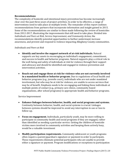#### **Recommendations**

The complexity of homicide and intentional injury prevention has become increasingly clear over the past three years of project activities. In order to be effective, a range of interventions need to take place at multiple levels. The remainder of this report outlines recommendations from partners that incorporate information and insight gained in 2015. Some of the recommendations are similar to those made following the review of homicides from 2012-2017, illustrating the improvements that still need to take place. Divided into *Individuals and Peers at Risk, Service Improvement, and Community Action*, the recommendations identify potential opportunities to further understand, increase awareness, and prevent and respond to violence impacting Allegheny County communities.

#### *Individuals and Peers at Risk*

- **Identify and involve the support network of at-risk individuals.** Natural supports are key assets in encouraging an individual's engagement, commitment, and success in health and behavior programs. Natural supports play a critical role in the well-being and safety of individuals at risk for violence through their support and advocacy and should be identified and engaged in violence prevention and intervention activities.
- **Reach out and engage those at risk for violence who are not currently involved in a mandated health or behavior program.** Due to regulations of local health and behavior programs (e.g., juvenile court), individuals who are not under mandated involvement, but who may be at risk for violence, are unable to access services that may be of benefit. Emphasis needs to be on engaging and linking these individuals at multiple points of contact (e.g., primary care clinics, community-based organizations, after school programs) to appropriate health and behavior programs.

#### Service Improvement

- **Enhance linkages between behavior, health, and social programs and systems.**  Continuity between behavior, health, and social systems is crucial. Linkages between systems should be improved to avoid any interruption in use or loss to follow-up.
- **Focus on engagement.** Individuals, particularly youth, may be more willing to participate in community health and social programs if they are engaged, rather than identified as needing a particular service. Getting the children of homicide victims more involved in community activities and keeping them actively busy, would be a valuable investment
- **Modify participation requirements.** Community adolescent or youth programs often require a parent/guardian's signature or payment in order to participate. These requirements eliminate potential participants who are unable to provide either a signature or payment. Program modifications or exceptions to participation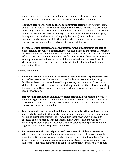requirements would ensure that all interested adolescents have a chance to participate, and overall, increase their access to a supportive community.

- **Adapt structure of service delivery in community settings.** Community stigma and distrust of certain institutions are significant barriers to access and utilization of existing health and social services. Health and social service organizations should adapt their structure of service delivery to include non-traditional methods (e.g., having more men and women walking neighborhoods) to not only increase awareness and program participation, but also better understand why current services are not being utilized and combat stigma and distrust.
- **Increase communication and coordination among organizations concerned with violence prevention efforts.** Numerous organizations are currently working with individuals and families at risk for violence or around local violence prevention efforts. Increased communication and coordination between these organizations would promote earlier intervention with individuals with an increased risk of victimization, as well as foster a larger network of individually tailored violence prevention efforts.

#### Community Action

- **Combat attitudes of violence as normative behavior and an appropriate form of conflict resolution.** The normalization of violence exists within Pittsburgh families and communities, and overall, supports a cycle of violence. Increase antiviolence initiatives that combat such attitudes; promote positive behavior modeling for children, youth, and young adults; and teach and encourage appropriate conflict resolution strategies.
- **Improve and strengthen community-police relations.** Poor community-police relations negatively impact and undermine violence prevention efforts. Increased trust, respect, and accountability between both groups is essential in order to work toward creating safe communities.
- **Distribute anti-violence and homicide awareness, education, and prevention materials throughout Pittsburgh.** Homicide and community violence information should be distributed throughout communities, local government and county agencies, and local media. Through increasing awareness and knowledge of homicide prevalence, greater attention and discussion can take place around the urgency for more effective prevention efforts.
- **Increase community participation and investment in violence prevention efforts.** Numerous community organizations, groups, and coalitions are already providing anti-violence awareness, education, and prevention throughout Allegheny County. Local governmental agencies, academic institutions, and community assets (e.g., barbershops and beauty salons, religious institutions, funeral homes) should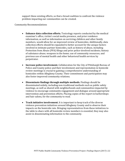support these existing efforts, so that a broad coalition to confront the violence problem impacting our communities can be created.

Community Recommendations

- **Enhance data collection efforts.** Toxicology reports conducted by the medical examiner's office, victim's social media presence, and prior residence information, as well as information on surviving children and other family members, would allow for an improved review of homicides. Additionally, data collection efforts should be expanded to better account for the unique factors involved in intimate partner homicides, such as history of abuse, including Protection from Abuse (PFA) filings and prior police-involved incidents; history of substance abuse; weapons in the home; use of community resources; and previous use of mental health and other behavioral health services by perpetrator.
- **Increase police involvement.** Collaboration for the City of Pittsburgh Bureau of Police and County police and their involvement and representation in homicide review meetings is crucial to gaining a comprehensive understanding of homicides within Allegheny County. Their commitment and participation may also foster improved community relations.
- **Disseminate findings through multiple methods.** Findings should be disseminated widely, including non-traditional methods such as public safety meetings, as well as shared with neighborhoods and communities impacted by violence to encourage community engagement and dialogue around appropriate intervention and prevention efforts. Placing copies of the report in barbershops and hair salons, for the community to read.
- **Track initiative involvement.** It is important to keep track of the diverse violence prevention initiatives around Allegheny County and to observe their impacts on the homicide rate. Bringing representatives from these initiatives to the table to share with all homicide review members is essential; they may also assist in disseminating information to the community.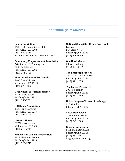## *Community Resources*

#### **Center for Victims**

3433 East Carson Suite #300 Pittsburgh, PA 15203 (412) 482-3240 24 hour crisis hotline 1-866-644-2882

#### **Community Empowerment Association**

Arts, Culture, & Training Center 7120 Kelly Street Pittsburgh, PA 15208 (412) 371-3689

#### **First United Methodist Church**

1406 Cornell Street McKeesport, PA 15132 (412) 672-5352

#### **Department of Human Services**

1 Smithfield Street Pittsburgh, PA 15222 (412) 350-5701

#### **Hill House Association**

1835 Centre Avenue Pittsburgh, PA 15219 (412) 392-4400

#### **Hosanna House**

807 Wallace Avenue Wilkinsburg, PA 15221 (412) 243-7711

#### **Manchester Citizens Corporation**

1319 Allegheny Avenue Pittsburgh, PA 15233 (412) 323-1743

**National Council for Urban Peace and Justice** P.O. Box 99746 Pittsburgh, PA 15233 (412) 606-0059

#### **One Hood Media**

info@1hood.org (412) 404-2347

#### **The Pittsburgh Project**

2801 North Charles Street Pittsburgh, PA 15214 (412) 321-1678

#### **The Corner Pittsburgh**

200 Robinson St Pittsburgh, PA 15213 (412) 683-1400

#### **Urban League of Greater Pittsburgh** 610 Wood Street

Pittsburgh, PA 15222

#### **YMCA Homewood**

7140 Bennett Street Pittsburgh, PA 15208 (412) 243-2900

#### **Kingsley Association**

6435 Frankstown Ave Pittsburgh, PA 15206 (412) 661-8751 kingsleyassociation.org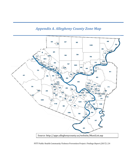# *Appendix A. Allegheny County Zone Map*



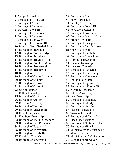Aleppo Township

- Borough of Aspinwall
- Borough of Avalon
- Borough of Baldwin
- Baldwin Township
- Borough of Bell Acres
- Borough of Bellevue
- Borough of Ben Avon
- Borough of Ben Avon Hts.
- Municipality of Bethel Park
- Borough of Blawnox
- Borough of Brackenridge
- Borough of Braddock
- Borough of Braddock Hills
- Borough of Bradford Woods
- Borough of Brentwood
- Borough of Bridgeville
- Borough of Carnegie
- Borough of Castle Shannon
- Borough of Chalfant
- Borough of Cheswick
- Borough of Churchill
- City of Clairton
- Collier Township
- Borough of Coraopolis
- Borough of Crafton
- Crescent Township
- Borough of Dormont
- Borough of Dravosburg
- City of Duquesne
- East Deer Township
- Borough of East McKeesport
- Borough of East Pittsburgh
- Borough of Edgewood
- Borough of Edgeworth
- Borough of Elizabeth
- Elizabeth Township
- Borough of Emsworth
- Borough of Etna
- Fawn Township
- Findlay Township
- Borough of Forest Hills
- Forward Township
- Borough of Fox Chapel
- Borough of Franklin Park
- Frazer Township
- Borough of Glassport
- Borough of Glen Osborne
- (formerly Osborne)
- Borough of Glenfield
- Borough of Green Tree
- Hampton Township
- Harmar Township
- Harrison Township
- Borough of Haysville
- Borough of Heidelberg
- Borough of Homestead
- Indiana Township
- Borough of Ingram
- Borough of Jefferson Hills
- Kennedy Township
- Kilbuck Township
- Leet Township
- Borough of Leetsdale
- Borough of Liberty
- Borough of Lincoln
- Marshall Township
- Town of McCandless
- Borough of McDonald
- City of McKeesport
- Borough of McKees Rocks
- Borough of Millvale
- Municipality of Monroeville
- Moon Township
- Municipality of Mt. Lebanon
- Borough of Mt. Oliver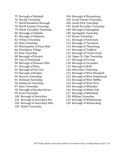- Borough of Munhall
- Neville Township
- North Braddock Borough
- North Fayette Township
- North Versailles Township
- Borough of Oakdale
- Borough of Oakmont
- O'Hara Township
- Ohio Township
- Municipality of Penn Hills
- Pennsbury Village
- Pine Township
- Borough of Pitcairn
- City of Pittsburgh
- Borough of Pleasant Hills
- Borough of Plum
- Borough of Port Vue
- Borough of Rankin
- Reserve Township
- Richland Township
- Robinson Township
- Ross Township
- Borough of Rosslyn Farms
- Scott Township
- Borough of Sewickley
- Borough of Sewickley Hts.
- Borough of Sewickley Hills
- Shaler Township
- Borough of Sharpsburg
- South Fayette Township
- South Park Township
- South Versailles Township
- Borough of Springdale
- Springdale Township
- Stowe Township
- Borough of Swissvale
- Borough of Tarentum
- Borough of Thornburg
- Borough of Trafford
- Borough of Turtle Creek
- Upper St. Clair Township
- Borough of Verona
- Borough of Versailles
- Borough of Wall
- West Deer Township
- Borough of West Elizabeth
- Borough of West Homestead
- Borough of West Mifflin
- Borough of West View
- Borough of Whitaker
- Borough of White Oak
- Borough of Whitehall
- Wilkins Township
- Borough of Wilkinsburg
- Borough of Wilmerding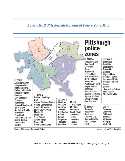## *Appendix B. Pittsburgh Bureau of Police Zone Map*



Source: Pittsburgh Bureau of Police

James Hilston/Post-Gazette